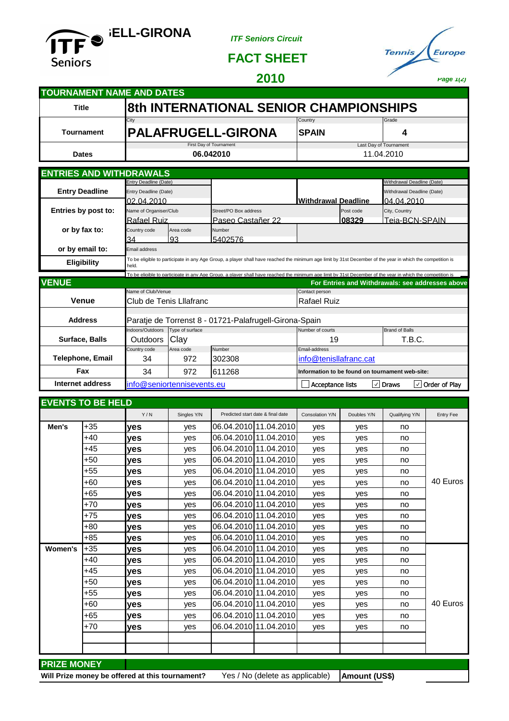



| FACT : | <b>QL</b> |       |  |
|--------|-----------|-------|--|
|        | OI.       | TE ET |  |

## **2010 Page 1(2)**

| <b>TOURNAMENT NAME AND DATES</b>                                                                                                                                                                                               |                                                                                                                                                                     |                  |                                            |                                                          |                                 |                                                                        |  |
|--------------------------------------------------------------------------------------------------------------------------------------------------------------------------------------------------------------------------------|---------------------------------------------------------------------------------------------------------------------------------------------------------------------|------------------|--------------------------------------------|----------------------------------------------------------|---------------------------------|------------------------------------------------------------------------|--|
| <b>8th INTERNATIONAL SENIOR CHAMPIONSHIPS</b><br><b>Title</b>                                                                                                                                                                  |                                                                                                                                                                     |                  |                                            |                                                          |                                 |                                                                        |  |
| <b>Tournament</b>                                                                                                                                                                                                              | City<br><b>PALAFRUGELL-GIRONA</b>                                                                                                                                   |                  |                                            | Country<br><b>SPAIN</b>                                  |                                 | Grade<br>4                                                             |  |
| <b>Dates</b>                                                                                                                                                                                                                   | First Day of Tournament<br>06.042010                                                                                                                                |                  |                                            | Last Day of Tournament<br>11.04.2010                     |                                 |                                                                        |  |
| <b>ENTRIES AND WITHDRAWALS</b>                                                                                                                                                                                                 |                                                                                                                                                                     |                  |                                            |                                                          |                                 |                                                                        |  |
| <b>Entry Deadline</b>                                                                                                                                                                                                          | Entry Deadline (Date)<br>Entry Deadline (Date)<br>02.04.2010                                                                                                        |                  |                                            | <b>Withdrawal Deadline</b>                               |                                 | Withdrawal Deadline (Date)<br>Withdrawal Deadline (Date)<br>04.04.2010 |  |
| Entries by post to:                                                                                                                                                                                                            | Name of Organiser/Club<br><b>Rafael Ruiz</b>                                                                                                                        |                  | Street/PO Box address<br>Paseo Castañer 22 |                                                          | Post code<br>08329              | City, Country<br>Teia-BCN-SPAIN                                        |  |
| or by fax to:                                                                                                                                                                                                                  | Country code<br>34                                                                                                                                                  | Area code<br>93  | Number<br>5402576                          |                                                          |                                 |                                                                        |  |
| or by email to:                                                                                                                                                                                                                | Email address                                                                                                                                                       |                  |                                            |                                                          |                                 |                                                                        |  |
| <b>Eligibility</b>                                                                                                                                                                                                             | To be eligible to participate in any Age Group, a player shall have reached the minimum age limit by 31st December of the year in which the competition is<br>held. |                  |                                            |                                                          |                                 |                                                                        |  |
| To be eligible to participate in anv Age Group, a plaver shall have reached the minimum age limit by 31st December of the vear in which the competition is<br><b>VENUE</b><br>For Entries and Withdrawals: see addresses above |                                                                                                                                                                     |                  |                                            |                                                          |                                 |                                                                        |  |
|                                                                                                                                                                                                                                | Name of Club/Venue<br>Contact person                                                                                                                                |                  |                                            |                                                          |                                 |                                                                        |  |
| Venue                                                                                                                                                                                                                          | Club de Tenis Lllafranc                                                                                                                                             |                  |                                            | <b>Rafael Ruiz</b>                                       |                                 |                                                                        |  |
| <b>Address</b>                                                                                                                                                                                                                 | Paratje de Torrenst 8 - 01721-Palafrugell-Girona-Spain                                                                                                              |                  |                                            |                                                          |                                 |                                                                        |  |
| Surface, Balls                                                                                                                                                                                                                 | Indoors/Outdoors<br>Type of surface<br>Clay<br>Outdoors                                                                                                             |                  | Number of courts<br>19                     |                                                          | <b>Brand of Balls</b><br>T.B.C. |                                                                        |  |
| Telephone, Email                                                                                                                                                                                                               | Country code<br>34                                                                                                                                                  | Area code<br>972 | Number<br>302308                           | Email-address<br>info@tenisllafranc.cat                  |                                 |                                                                        |  |
| Fax                                                                                                                                                                                                                            | 34                                                                                                                                                                  | 972              | 611268                                     |                                                          |                                 | Information to be found on tournament web-site:                        |  |
| <b>Internet address</b>                                                                                                                                                                                                        | info@seniortennisevents.eu                                                                                                                                          |                  |                                            | $\vee$ Draws<br>$\vee$ Order of Play<br>Acceptance lists |                                 |                                                                        |  |

## **EVENTS TO BE HELD**

|         |       | Y/N        | Singles Y/N | Predicted start date & final date | Consolation Y/N | Doubles Y/N | Qualifying Y/N | Entry Fee |
|---------|-------|------------|-------------|-----------------------------------|-----------------|-------------|----------------|-----------|
| Men's   | $+35$ | yes        | <b>ves</b>  | 06.04.2010 11.04.2010             | yes             | yes         | no             |           |
|         | +40   | yes        | yes         | 06.04.2010 11.04.2010             | yes             | yes         | no             |           |
|         | +45   | yes        | <b>ves</b>  | 06.04.2010 11.04.2010             | yes             | yes         | no             |           |
|         | +50   | yes        | ves         | 06.04.2010 11.04.2010             | yes             | <b>ves</b>  | no             |           |
|         | +55   | <b>ves</b> | <b>ves</b>  | 06.04.2010 11.04.2010             | yes             | <b>ves</b>  | no             |           |
|         | +60   | yes        | yes         | 06.04.2010 11.04.2010             | yes             | yes         | no             | 40 Euros  |
|         | +65   | <b>ves</b> | ves         | 06.04.2010 11.04.2010             | yes             | ves         | no             |           |
|         | +70   | yes        | <b>ves</b>  | 06.04.2010 11.04.2010             | yes             | ves         | no             |           |
|         | $+75$ | yes        | yes         | 06.04.2010 11.04.2010             | yes             | ves         | no             |           |
|         | $+80$ | yes        | ves         | 06.04.2010 11.04.2010             | yes             | yes         | no             |           |
|         | +85   | yes        | ves         | 06.04.2010 11.04.2010             | yes             | ves         | no             |           |
| Women's | $+35$ | <b>ves</b> | <b>ves</b>  | 06.04.2010 11.04.2010             | yes             | ves         | no             |           |
|         | +40   | yes        | ves         | 06.04.2010 11.04.2010             | yes             | yes         | no             |           |
|         | +45   | <b>ves</b> | <b>ves</b>  | 06.04.2010 11.04.2010             | yes             | yes         | no             |           |
|         | +50   | yes        | ves         | 06.04.2010 11.04.2010             | yes             | ves         | no             |           |
|         | +55   | yes        | ves         | 06.04.2010 11.04.2010             | yes             | <b>ves</b>  | no             |           |
|         | $+60$ | yes        | yes         | 06.04.2010 11.04.2010             | yes             | yes         | no             | 40 Euros  |
|         | $+65$ | yes        | ves         | 06.04.2010 11.04.2010             | yes             | <b>ves</b>  | no             |           |
|         | +70   | yes        | ves         | 06.04.2010 11.04.2010             | yes             | ves         | no             |           |
|         |       |            |             |                                   |                 |             |                |           |
|         |       |            |             |                                   |                 |             |                |           |

## **PRIZE MONEY**

**Will Prize money be offered at this tournament?** Yes / No (delete as applicable) **Amount (US\$)** 

Yes / No (delete as applicable)